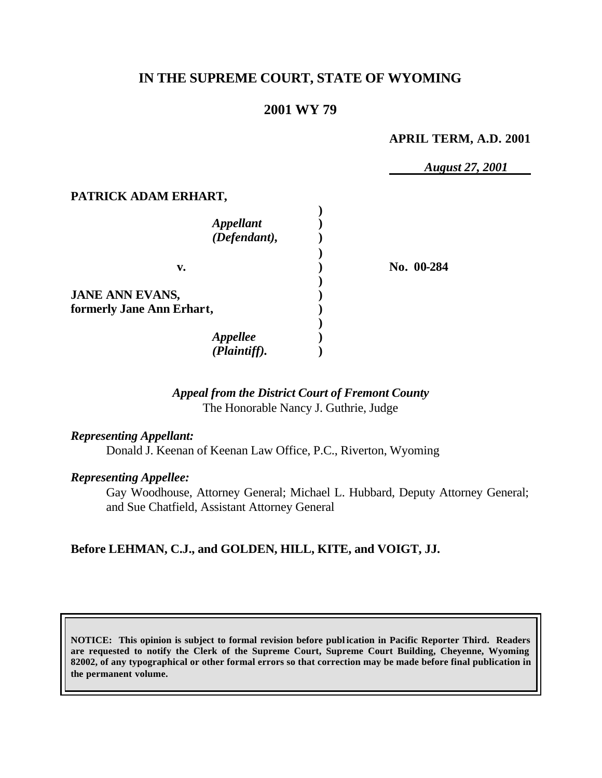# **IN THE SUPREME COURT, STATE OF WYOMING**

## **2001 WY 79**

#### **APRIL TERM, A.D. 2001**

*August 27, 2001*

### **PATRICK ADAM ERHART,**

| <b>Appellant</b><br>(Defendant),                    |            |
|-----------------------------------------------------|------------|
| v.                                                  | No. 00-284 |
| <b>JANE ANN EVANS,</b><br>formerly Jane Ann Erhart, |            |
| Appellee<br>(Plaintiff).                            |            |

### *Appeal from the District Court of Fremont County* The Honorable Nancy J. Guthrie, Judge

#### *Representing Appellant:*

Donald J. Keenan of Keenan Law Office, P.C., Riverton, Wyoming

### *Representing Appellee:*

Gay Woodhouse, Attorney General; Michael L. Hubbard, Deputy Attorney General; and Sue Chatfield, Assistant Attorney General

### **Before LEHMAN, C.J., and GOLDEN, HILL, KITE, and VOIGT, JJ.**

**NOTICE: This opinion is subject to formal revision before publ ication in Pacific Reporter Third. Readers are requested to notify the Clerk of the Supreme Court, Supreme Court Building, Cheyenne, Wyoming 82002, of any typographical or other formal errors so that correction may be made before final publication in the permanent volume.**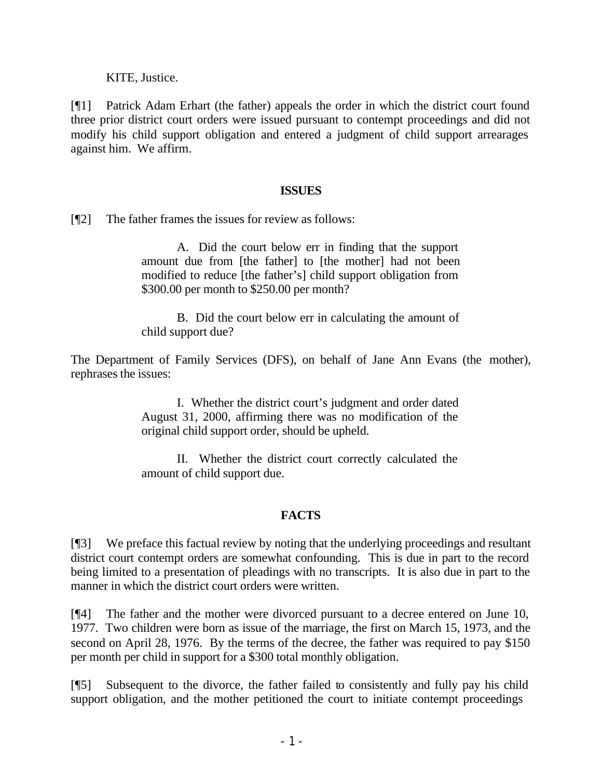KITE, Justice.

[¶1] Patrick Adam Erhart (the father) appeals the order in which the district court found three prior district court orders were issued pursuant to contempt proceedings and did not modify his child support obligation and entered a judgment of child support arrearages against him. We affirm.

### **ISSUES**

[¶2] The father frames the issues for review as follows:

A. Did the court below err in finding that the support amount due from [the father] to [the mother] had not been modified to reduce [the father's] child support obligation from \$300.00 per month to \$250.00 per month?

B. Did the court below err in calculating the amount of child support due?

The Department of Family Services (DFS), on behalf of Jane Ann Evans (the mother), rephrases the issues:

> I. Whether the district court's judgment and order dated August 31, 2000, affirming there was no modification of the original child support order, should be upheld.

> II. Whether the district court correctly calculated the amount of child support due.

# **FACTS**

[¶3] We preface this factual review by noting that the underlying proceedings and resultant district court contempt orders are somewhat confounding. This is due in part to the record being limited to a presentation of pleadings with no transcripts. It is also due in part to the manner in which the district court orders were written.

[¶4] The father and the mother were divorced pursuant to a decree entered on June 10, 1977. Two children were born as issue of the marriage, the first on March 15, 1973, and the second on April 28, 1976. By the terms of the decree, the father was required to pay \$150 per month per child in support for a \$300 total monthly obligation.

[¶5] Subsequent to the divorce, the father failed to consistently and fully pay his child support obligation, and the mother petitioned the court to initiate contempt proceedings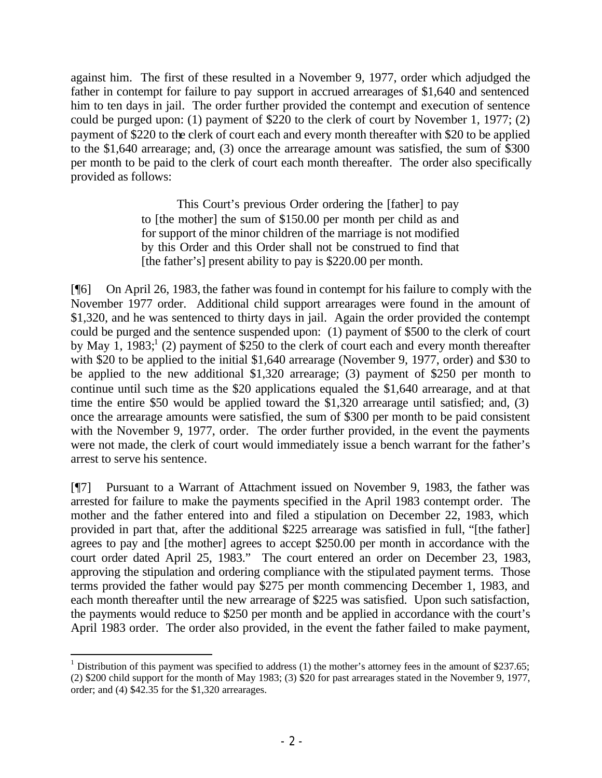against him. The first of these resulted in a November 9, 1977, order which adjudged the father in contempt for failure to pay support in accrued arrearages of \$1,640 and sentenced him to ten days in jail. The order further provided the contempt and execution of sentence could be purged upon: (1) payment of \$220 to the clerk of court by November 1, 1977; (2) payment of \$220 to the clerk of court each and every month thereafter with \$20 to be applied to the \$1,640 arrearage; and, (3) once the arrearage amount was satisfied, the sum of \$300 per month to be paid to the clerk of court each month thereafter. The order also specifically provided as follows:

> This Court's previous Order ordering the [father] to pay to [the mother] the sum of \$150.00 per month per child as and for support of the minor children of the marriage is not modified by this Order and this Order shall not be construed to find that [the father's] present ability to pay is \$220.00 per month.

[¶6] On April 26, 1983, the father was found in contempt for his failure to comply with the November 1977 order. Additional child support arrearages were found in the amount of \$1,320, and he was sentenced to thirty days in jail. Again the order provided the contempt could be purged and the sentence suspended upon: (1) payment of \$500 to the clerk of court by May 1, 1983;<sup>1</sup> (2) payment of \$250 to the clerk of court each and every month thereafter with \$20 to be applied to the initial \$1,640 arrearage (November 9, 1977, order) and \$30 to be applied to the new additional \$1,320 arrearage; (3) payment of \$250 per month to continue until such time as the \$20 applications equaled the \$1,640 arrearage, and at that time the entire \$50 would be applied toward the \$1,320 arrearage until satisfied; and, (3) once the arrearage amounts were satisfied, the sum of \$300 per month to be paid consistent with the November 9, 1977, order. The order further provided, in the event the payments were not made, the clerk of court would immediately issue a bench warrant for the father's arrest to serve his sentence.

[¶7] Pursuant to a Warrant of Attachment issued on November 9, 1983, the father was arrested for failure to make the payments specified in the April 1983 contempt order. The mother and the father entered into and filed a stipulation on December 22, 1983, which provided in part that, after the additional \$225 arrearage was satisfied in full, "[the father] agrees to pay and [the mother] agrees to accept \$250.00 per month in accordance with the court order dated April 25, 1983." The court entered an order on December 23, 1983, approving the stipulation and ordering compliance with the stipulated payment terms. Those terms provided the father would pay \$275 per month commencing December 1, 1983, and each month thereafter until the new arrearage of \$225 was satisfied. Upon such satisfaction, the payments would reduce to \$250 per month and be applied in accordance with the court's April 1983 order. The order also provided, in the event the father failed to make payment,

<sup>&</sup>lt;sup>1</sup> Distribution of this payment was specified to address (1) the mother's attorney fees in the amount of \$237.65; (2) \$200 child support for the month of May 1983; (3) \$20 for past arrearages stated in the November 9, 1977, order; and (4) \$42.35 for the \$1,320 arrearages.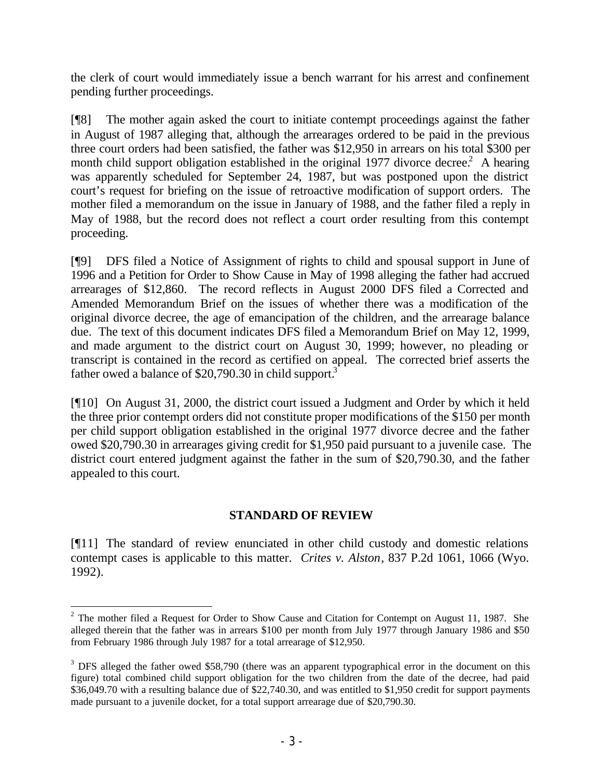the clerk of court would immediately issue a bench warrant for his arrest and confinement pending further proceedings.

[¶8] The mother again asked the court to initiate contempt proceedings against the father in August of 1987 alleging that, although the arrearages ordered to be paid in the previous three court orders had been satisfied, the father was \$12,950 in arrears on his total \$300 per month child support obligation established in the original 1977 divorce decree.<sup>2</sup> A hearing was apparently scheduled for September 24, 1987, but was postponed upon the district court's request for briefing on the issue of retroactive modification of support orders. The mother filed a memorandum on the issue in January of 1988, and the father filed a reply in May of 1988, but the record does not reflect a court order resulting from this contempt proceeding.

[¶9] DFS filed a Notice of Assignment of rights to child and spousal support in June of 1996 and a Petition for Order to Show Cause in May of 1998 alleging the father had accrued arrearages of \$12,860. The record reflects in August 2000 DFS filed a Corrected and Amended Memorandum Brief on the issues of whether there was a modification of the original divorce decree, the age of emancipation of the children, and the arrearage balance due. The text of this document indicates DFS filed a Memorandum Brief on May 12, 1999, and made argument to the district court on August 30, 1999; however, no pleading or transcript is contained in the record as certified on appeal. The corrected brief asserts the father owed a balance of  $$20,790.30$  in child support.<sup>3</sup>

[¶10] On August 31, 2000, the district court issued a Judgment and Order by which it held the three prior contempt orders did not constitute proper modifications of the \$150 per month per child support obligation established in the original 1977 divorce decree and the father owed \$20,790.30 in arrearages giving credit for \$1,950 paid pursuant to a juvenile case. The district court entered judgment against the father in the sum of \$20,790.30, and the father appealed to this court.

# **STANDARD OF REVIEW**

[¶11] The standard of review enunciated in other child custody and domestic relations contempt cases is applicable to this matter. *Crites v. Alston*, 837 P.2d 1061, 1066 (Wyo. 1992).

 $2^2$  The mother filed a Request for Order to Show Cause and Citation for Contempt on August 11, 1987. She alleged therein that the father was in arrears \$100 per month from July 1977 through January 1986 and \$50 from February 1986 through July 1987 for a total arrearage of \$12,950.

 $3$  DFS alleged the father owed \$58,790 (there was an apparent typographical error in the document on this figure) total combined child support obligation for the two children from the date of the decree, had paid \$36,049.70 with a resulting balance due of \$22,740.30, and was entitled to \$1,950 credit for support payments made pursuant to a juvenile docket, for a total support arrearage due of \$20,790.30.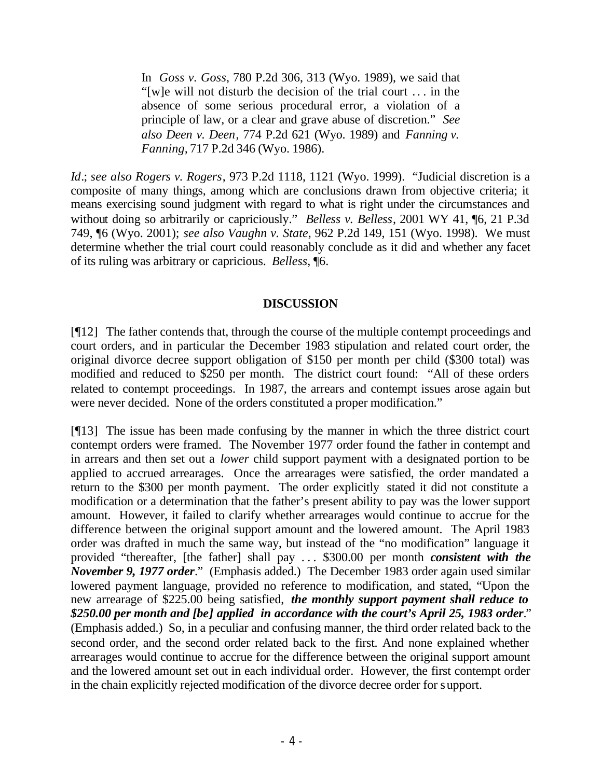In *Goss v. Goss*, 780 P.2d 306, 313 (Wyo. 1989), we said that "[w]e will not disturb the decision of the trial court . . . in the absence of some serious procedural error, a violation of a principle of law, or a clear and grave abuse of discretion." *See also Deen v. Deen*, 774 P.2d 621 (Wyo. 1989) and *Fanning v. Fanning,* 717 P.2d 346 (Wyo. 1986).

*Id*.; *see also Rogers v. Rogers*, 973 P.2d 1118, 1121 (Wyo. 1999). "Judicial discretion is a composite of many things, among which are conclusions drawn from objective criteria; it means exercising sound judgment with regard to what is right under the circumstances and without doing so arbitrarily or capriciously." *Belless v. Belless*, 2001 WY 41, ¶6, 21 P.3d 749, ¶6 (Wyo. 2001); *see also Vaughn v. State*, 962 P.2d 149, 151 (Wyo. 1998). We must determine whether the trial court could reasonably conclude as it did and whether any facet of its ruling was arbitrary or capricious. *Belless*, ¶6.

### **DISCUSSION**

[¶12] The father contends that, through the course of the multiple contempt proceedings and court orders, and in particular the December 1983 stipulation and related court order, the original divorce decree support obligation of \$150 per month per child (\$300 total) was modified and reduced to \$250 per month. The district court found: "All of these orders related to contempt proceedings. In 1987, the arrears and contempt issues arose again but were never decided. None of the orders constituted a proper modification."

[¶13] The issue has been made confusing by the manner in which the three district court contempt orders were framed. The November 1977 order found the father in contempt and in arrears and then set out a *lower* child support payment with a designated portion to be applied to accrued arrearages. Once the arrearages were satisfied, the order mandated a return to the \$300 per month payment. The order explicitly stated it did not constitute a modification or a determination that the father's present ability to pay was the lower support amount. However, it failed to clarify whether arrearages would continue to accrue for the difference between the original support amount and the lowered amount. The April 1983 order was drafted in much the same way, but instead of the "no modification" language it provided "thereafter, [the father] shall pay . . . \$300.00 per month *consistent with the November 9, 1977 order*." (Emphasis added.) The December 1983 order again used similar lowered payment language, provided no reference to modification, and stated, "Upon the new arrearage of \$225.00 being satisfied, *the monthly support payment shall reduce to \$250.00 per month and [be] applied in accordance with the court's April 25, 1983 order*." (Emphasis added.) So, in a peculiar and confusing manner, the third order related back to the second order, and the second order related back to the first. And none explained whether arrearages would continue to accrue for the difference between the original support amount and the lowered amount set out in each individual order. However, the first contempt order in the chain explicitly rejected modification of the divorce decree order for support.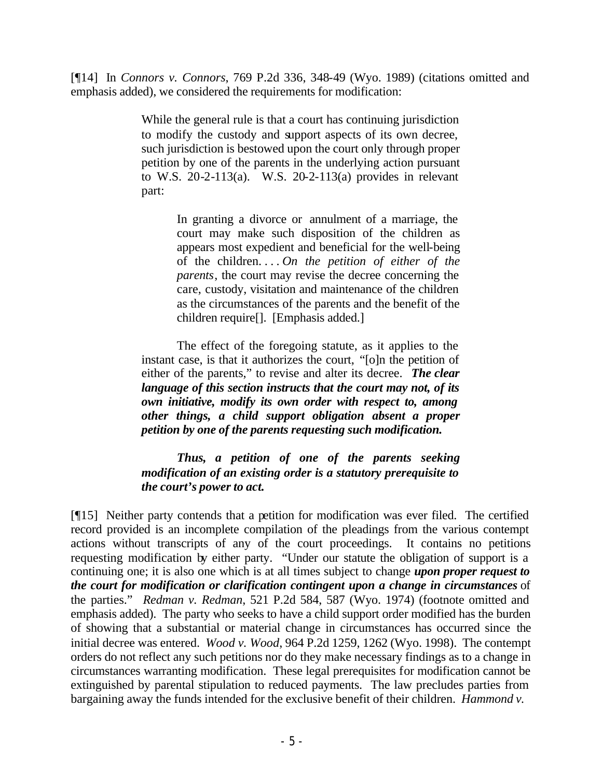[¶14] In *Connors v. Connors*, 769 P.2d 336, 348-49 (Wyo. 1989) (citations omitted and emphasis added), we considered the requirements for modification:

> While the general rule is that a court has continuing jurisdiction to modify the custody and support aspects of its own decree, such jurisdiction is bestowed upon the court only through proper petition by one of the parents in the underlying action pursuant to W.S. 20-2-113(a). W.S. 20-2-113(a) provides in relevant part:

> > In granting a divorce or annulment of a marriage, the court may make such disposition of the children as appears most expedient and beneficial for the well-being of the children. . . . *On the petition of either of the parents*, the court may revise the decree concerning the care, custody, visitation and maintenance of the children as the circumstances of the parents and the benefit of the children require[]. [Emphasis added.]

The effect of the foregoing statute, as it applies to the instant case, is that it authorizes the court, "[o]n the petition of either of the parents," to revise and alter its decree. *The clear language of this section instructs that the court may not, of its own initiative, modify its own order with respect to, among other things, a child support obligation absent a proper petition by one of the parents requesting such modification.*

*Thus, a petition of one of the parents seeking modification of an existing order is a statutory prerequisite to the court's power to act.*

[¶15] Neither party contends that a petition for modification was ever filed. The certified record provided is an incomplete compilation of the pleadings from the various contempt actions without transcripts of any of the court proceedings. It contains no petitions requesting modification by either party. "Under our statute the obligation of support is a continuing one; it is also one which is at all times subject to change *upon proper request to the court for modification or clarification contingent upon a change in circumstances* of the parties." *Redman v. Redman*, 521 P.2d 584, 587 (Wyo. 1974) (footnote omitted and emphasis added). The party who seeks to have a child support order modified has the burden of showing that a substantial or material change in circumstances has occurred since the initial decree was entered. *Wood v. Wood*, 964 P.2d 1259, 1262 (Wyo. 1998). The contempt orders do not reflect any such petitions nor do they make necessary findings as to a change in circumstances warranting modification. These legal prerequisites for modification cannot be extinguished by parental stipulation to reduced payments. The law precludes parties from bargaining away the funds intended for the exclusive benefit of their children. *Hammond v.*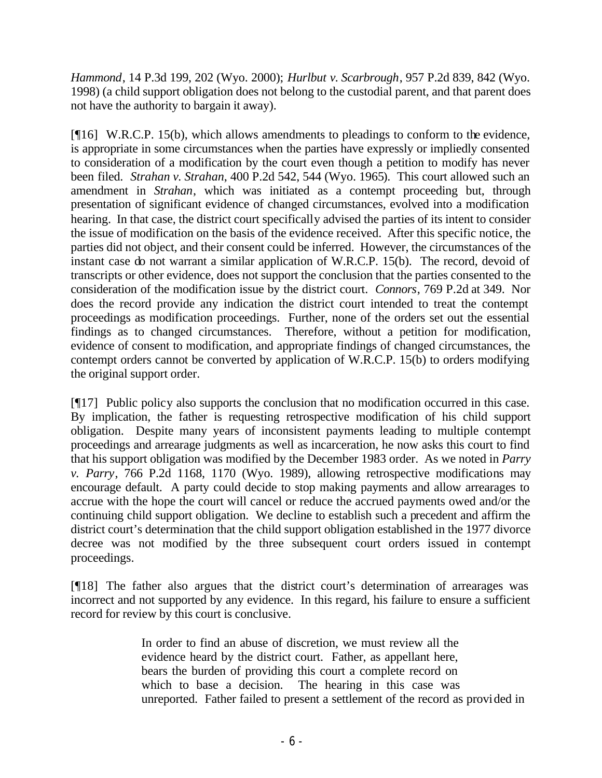*Hammond*, 14 P.3d 199, 202 (Wyo. 2000); *Hurlbut v. Scarbrough*, 957 P.2d 839, 842 (Wyo. 1998) (a child support obligation does not belong to the custodial parent, and that parent does not have the authority to bargain it away).

[¶16] W.R.C.P. 15(b), which allows amendments to pleadings to conform to the evidence, is appropriate in some circumstances when the parties have expressly or impliedly consented to consideration of a modification by the court even though a petition to modify has never been filed. *Strahan v. Strahan*, 400 P.2d 542, 544 (Wyo. 1965). This court allowed such an amendment in *Strahan*, which was initiated as a contempt proceeding but, through presentation of significant evidence of changed circumstances, evolved into a modification hearing. In that case, the district court specifically advised the parties of its intent to consider the issue of modification on the basis of the evidence received. After this specific notice, the parties did not object, and their consent could be inferred. However, the circumstances of the instant case do not warrant a similar application of W.R.C.P. 15(b). The record, devoid of transcripts or other evidence, does not support the conclusion that the parties consented to the consideration of the modification issue by the district court. *Connors*, 769 P.2d at 349. Nor does the record provide any indication the district court intended to treat the contempt proceedings as modification proceedings. Further, none of the orders set out the essential findings as to changed circumstances. Therefore, without a petition for modification, evidence of consent to modification, and appropriate findings of changed circumstances, the contempt orders cannot be converted by application of W.R.C.P. 15(b) to orders modifying the original support order.

[¶17] Public policy also supports the conclusion that no modification occurred in this case. By implication, the father is requesting retrospective modification of his child support obligation. Despite many years of inconsistent payments leading to multiple contempt proceedings and arrearage judgments as well as incarceration, he now asks this court to find that his support obligation was modified by the December 1983 order. As we noted in *Parry v. Parry*, 766 P.2d 1168, 1170 (Wyo. 1989), allowing retrospective modifications may encourage default. A party could decide to stop making payments and allow arrearages to accrue with the hope the court will cancel or reduce the accrued payments owed and/or the continuing child support obligation. We decline to establish such a precedent and affirm the district court's determination that the child support obligation established in the 1977 divorce decree was not modified by the three subsequent court orders issued in contempt proceedings.

[¶18] The father also argues that the district court's determination of arrearages was incorrect and not supported by any evidence. In this regard, his failure to ensure a sufficient record for review by this court is conclusive.

> In order to find an abuse of discretion, we must review all the evidence heard by the district court. Father, as appellant here, bears the burden of providing this court a complete record on which to base a decision. The hearing in this case was unreported. Father failed to present a settlement of the record as provided in